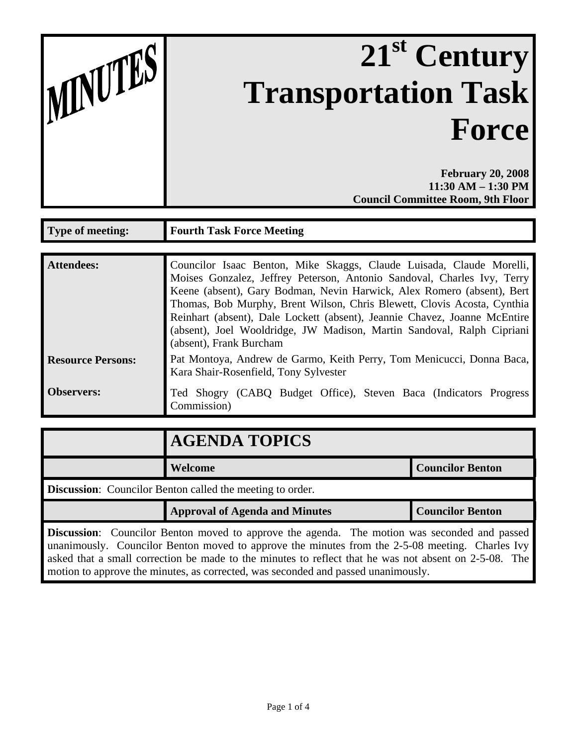| MNUTES |  |
|--------|--|
|        |  |

## 21<sup>st</sup> Century **Transportation Task Force**

**February 20, 2008 11:30 AM – 1:30 PM Council Committee Room, 9th Floor**

| <b>Type of meeting:</b>  | <b>Fourth Task Force Meeting</b>                                                                                                                                                                                                                                                                                                                                                                                                                                                       |
|--------------------------|----------------------------------------------------------------------------------------------------------------------------------------------------------------------------------------------------------------------------------------------------------------------------------------------------------------------------------------------------------------------------------------------------------------------------------------------------------------------------------------|
|                          |                                                                                                                                                                                                                                                                                                                                                                                                                                                                                        |
| <b>Attendees:</b>        | Councilor Isaac Benton, Mike Skaggs, Claude Luisada, Claude Morelli,<br>Moises Gonzalez, Jeffrey Peterson, Antonio Sandoval, Charles Ivy, Terry<br>Keene (absent), Gary Bodman, Nevin Harwick, Alex Romero (absent), Bert<br>Thomas, Bob Murphy, Brent Wilson, Chris Blewett, Clovis Acosta, Cynthia<br>Reinhart (absent), Dale Lockett (absent), Jeannie Chavez, Joanne McEntire<br>(absent), Joel Wooldridge, JW Madison, Martin Sandoval, Ralph Cipriani<br>(absent), Frank Burcham |
| <b>Resource Persons:</b> | Pat Montoya, Andrew de Garmo, Keith Perry, Tom Menicucci, Donna Baca,<br>Kara Shair-Rosenfield, Tony Sylvester                                                                                                                                                                                                                                                                                                                                                                         |
| <b>Observers:</b>        | Ted Shogry (CABQ Budget Office), Steven Baca (Indicators Progress<br>Commission)                                                                                                                                                                                                                                                                                                                                                                                                       |

|                                                                  | <b>AGENDA TOPICS</b>                  |                         |  |  |
|------------------------------------------------------------------|---------------------------------------|-------------------------|--|--|
|                                                                  | Welcome                               | <b>Councilor Benton</b> |  |  |
| <b>Discussion:</b> Councilor Benton called the meeting to order. |                                       |                         |  |  |
|                                                                  | <b>Approval of Agenda and Minutes</b> | <b>Councilor Benton</b> |  |  |
|                                                                  |                                       |                         |  |  |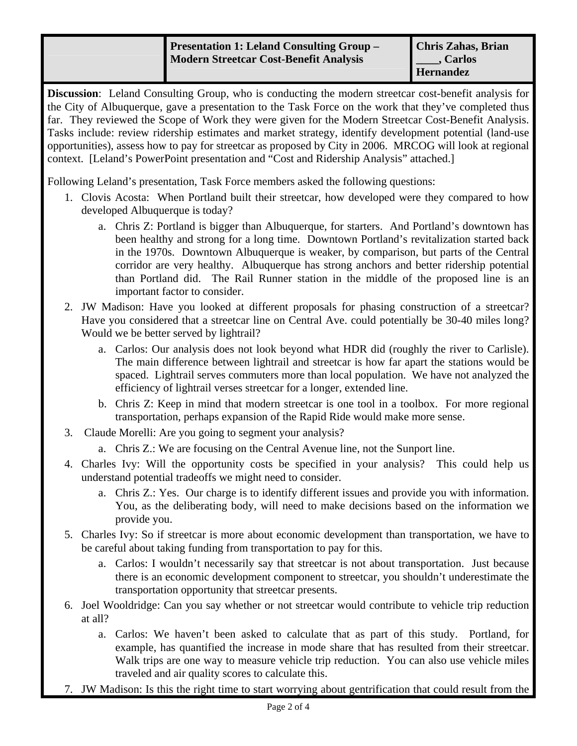## **Presentation 1: Leland Consulting Group – Modern Streetcar Cost-Benefit Analysis**

**Discussion**: Leland Consulting Group, who is conducting the modern streetcar cost-benefit analysis for the City of Albuquerque, gave a presentation to the Task Force on the work that they've completed thus far. They reviewed the Scope of Work they were given for the Modern Streetcar Cost-Benefit Analysis. Tasks include: review ridership estimates and market strategy, identify development potential (land-use opportunities), assess how to pay for streetcar as proposed by City in 2006. MRCOG will look at regional context. [Leland's PowerPoint presentation and "Cost and Ridership Analysis" attached.]

Following Leland's presentation, Task Force members asked the following questions:

- 1. Clovis Acosta: When Portland built their streetcar, how developed were they compared to how developed Albuquerque is today?
	- a. Chris Z: Portland is bigger than Albuquerque, for starters. And Portland's downtown has been healthy and strong for a long time. Downtown Portland's revitalization started back in the 1970s. Downtown Albuquerque is weaker, by comparison, but parts of the Central corridor are very healthy. Albuquerque has strong anchors and better ridership potential than Portland did. The Rail Runner station in the middle of the proposed line is an important factor to consider.
- 2. JW Madison: Have you looked at different proposals for phasing construction of a streetcar? Have you considered that a streetcar line on Central Ave. could potentially be 30-40 miles long? Would we be better served by lightrail?
	- a. Carlos: Our analysis does not look beyond what HDR did (roughly the river to Carlisle). The main difference between lightrail and streetcar is how far apart the stations would be spaced. Lightrail serves commuters more than local population. We have not analyzed the efficiency of lightrail verses streetcar for a longer, extended line.
	- b. Chris Z: Keep in mind that modern streetcar is one tool in a toolbox. For more regional transportation, perhaps expansion of the Rapid Ride would make more sense.
- 3. Claude Morelli: Are you going to segment your analysis?
	- a. Chris Z.: We are focusing on the Central Avenue line, not the Sunport line.
- 4. Charles Ivy: Will the opportunity costs be specified in your analysis? This could help us understand potential tradeoffs we might need to consider.
	- a. Chris Z.: Yes. Our charge is to identify different issues and provide you with information. You, as the deliberating body, will need to make decisions based on the information we provide you.
- 5. Charles Ivy: So if streetcar is more about economic development than transportation, we have to be careful about taking funding from transportation to pay for this.
	- a. Carlos: I wouldn't necessarily say that streetcar is not about transportation. Just because there is an economic development component to streetcar, you shouldn't underestimate the transportation opportunity that streetcar presents.
- 6. Joel Wooldridge: Can you say whether or not streetcar would contribute to vehicle trip reduction at all?
	- a. Carlos: We haven't been asked to calculate that as part of this study. Portland, for example, has quantified the increase in mode share that has resulted from their streetcar. Walk trips are one way to measure vehicle trip reduction. You can also use vehicle miles traveled and air quality scores to calculate this.
- 7. JW Madison: Is this the right time to start worrying about gentrification that could result from the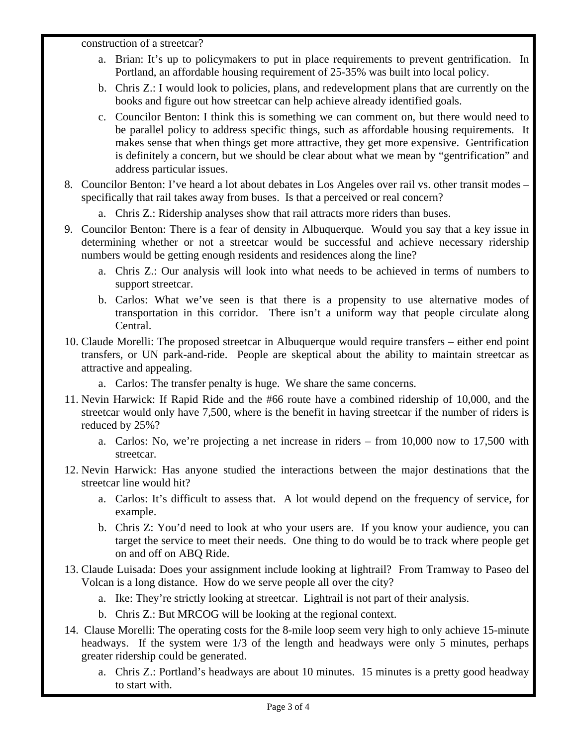construction of a streetcar?

- a. Brian: It's up to policymakers to put in place requirements to prevent gentrification. In Portland, an affordable housing requirement of 25-35% was built into local policy.
- b. Chris Z.: I would look to policies, plans, and redevelopment plans that are currently on the books and figure out how streetcar can help achieve already identified goals.
- c. Councilor Benton: I think this is something we can comment on, but there would need to be parallel policy to address specific things, such as affordable housing requirements. It makes sense that when things get more attractive, they get more expensive. Gentrification is definitely a concern, but we should be clear about what we mean by "gentrification" and address particular issues.
- 8. Councilor Benton: I've heard a lot about debates in Los Angeles over rail vs. other transit modes specifically that rail takes away from buses. Is that a perceived or real concern?
	- a. Chris Z.: Ridership analyses show that rail attracts more riders than buses.
- 9. Councilor Benton: There is a fear of density in Albuquerque. Would you say that a key issue in determining whether or not a streetcar would be successful and achieve necessary ridership numbers would be getting enough residents and residences along the line?
	- a. Chris Z.: Our analysis will look into what needs to be achieved in terms of numbers to support streetcar.
	- b. Carlos: What we've seen is that there is a propensity to use alternative modes of transportation in this corridor. There isn't a uniform way that people circulate along Central.
- 10. Claude Morelli: The proposed streetcar in Albuquerque would require transfers either end point transfers, or UN park-and-ride. People are skeptical about the ability to maintain streetcar as attractive and appealing.
	- a. Carlos: The transfer penalty is huge. We share the same concerns.
- 11. Nevin Harwick: If Rapid Ride and the #66 route have a combined ridership of 10,000, and the streetcar would only have 7,500, where is the benefit in having streetcar if the number of riders is reduced by 25%?
	- a. Carlos: No, we're projecting a net increase in riders from 10,000 now to 17,500 with streetcar.
- 12. Nevin Harwick: Has anyone studied the interactions between the major destinations that the streetcar line would hit?
	- a. Carlos: It's difficult to assess that. A lot would depend on the frequency of service, for example.
	- b. Chris Z: You'd need to look at who your users are. If you know your audience, you can target the service to meet their needs. One thing to do would be to track where people get on and off on ABQ Ride.
- 13. Claude Luisada: Does your assignment include looking at lightrail? From Tramway to Paseo del Volcan is a long distance. How do we serve people all over the city?
	- a. Ike: They're strictly looking at streetcar. Lightrail is not part of their analysis.
	- b. Chris Z.: But MRCOG will be looking at the regional context.
- 14. Clause Morelli: The operating costs for the 8-mile loop seem very high to only achieve 15-minute headways. If the system were 1/3 of the length and headways were only 5 minutes, perhaps greater ridership could be generated.
	- a. Chris Z.: Portland's headways are about 10 minutes. 15 minutes is a pretty good headway to start with.